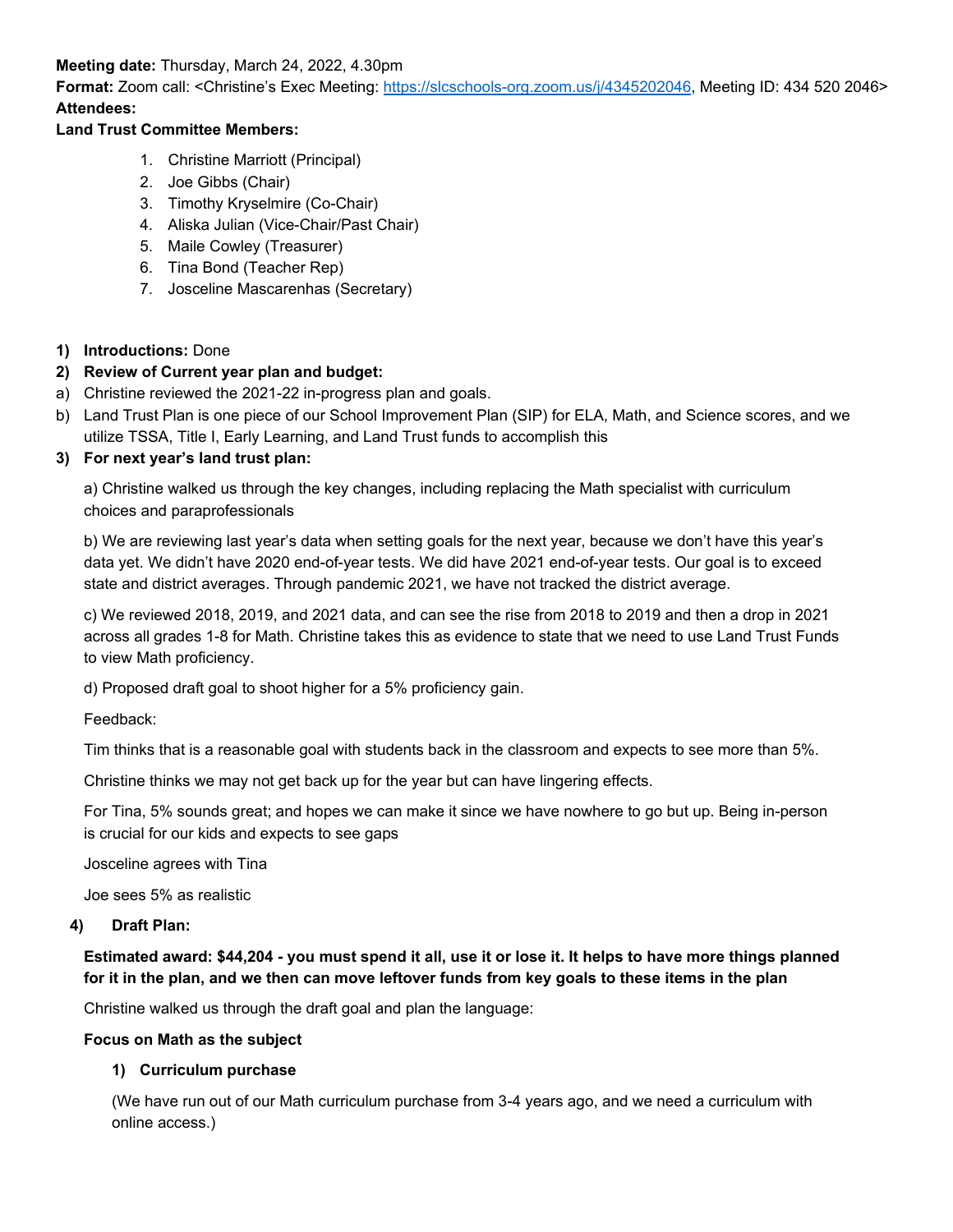**Meeting date:** Thursday, March 24, 2022, 4.30pm

**Format:** Zoom call: <Christine's Exec Meeting: [https://slcschools-org.zoom.us/j/4345202046,](https://slcschools-org.zoom.us/j/4345202046) Meeting ID: 434 520 2046> **Attendees:** 

## **Land Trust Committee Members:**

- 1. Christine Marriott (Principal)
- 2. Joe Gibbs (Chair)
- 3. Timothy Kryselmire (Co-Chair)
- 4. Aliska Julian (Vice-Chair/Past Chair)
- 5. Maile Cowley (Treasurer)
- 6. Tina Bond (Teacher Rep)
- 7. Josceline Mascarenhas (Secretary)

## **1) Introductions:** Done

## **2) Review of Current year plan and budget:**

- a) Christine reviewed the 2021-22 in-progress plan and goals.
- b) Land Trust Plan is one piece of our School Improvement Plan (SIP) for ELA, Math, and Science scores, and we utilize TSSA, Title I, Early Learning, and Land Trust funds to accomplish this

### **3) For next year's land trust plan:**

a) Christine walked us through the key changes, including replacing the Math specialist with curriculum choices and paraprofessionals

b) We are reviewing last year's data when setting goals for the next year, because we don't have this year's data yet. We didn't have 2020 end-of-year tests. We did have 2021 end-of-year tests. Our goal is to exceed state and district averages. Through pandemic 2021, we have not tracked the district average.

c) We reviewed 2018, 2019, and 2021 data, and can see the rise from 2018 to 2019 and then a drop in 2021 across all grades 1-8 for Math. Christine takes this as evidence to state that we need to use Land Trust Funds to view Math proficiency.

d) Proposed draft goal to shoot higher for a 5% proficiency gain.

Feedback:

Tim thinks that is a reasonable goal with students back in the classroom and expects to see more than 5%.

Christine thinks we may not get back up for the year but can have lingering effects.

For Tina, 5% sounds great; and hopes we can make it since we have nowhere to go but up. Being in-person is crucial for our kids and expects to see gaps

Josceline agrees with Tina

Joe sees 5% as realistic

#### **4) Draft Plan:**

**Estimated award: \$44,204 - you must spend it all, use it or lose it. It helps to have more things planned for it in the plan, and we then can move leftover funds from key goals to these items in the plan**

Christine walked us through the draft goal and plan the language:

#### **Focus on Math as the subject**

## **1) Curriculum purchase**

(We have run out of our Math curriculum purchase from 3-4 years ago, and we need a curriculum with online access.)